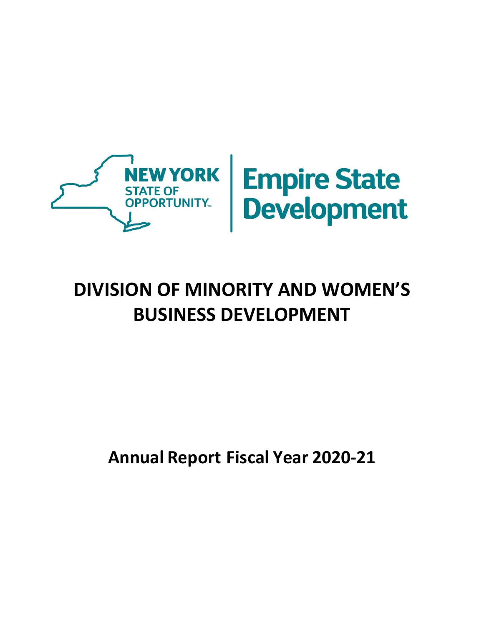

# **DIVISION OF MINORITY AND WOMEN'S BUSINESS DEVELOPMENT**

**Annual Report Fiscal Year 2020-21**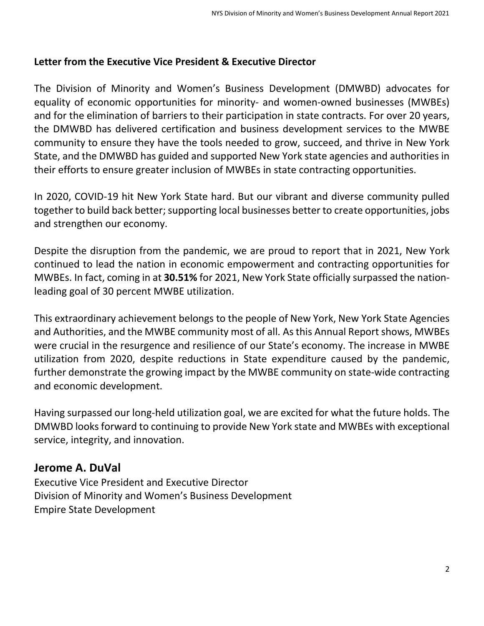### **Letter from the Executive Vice President & Executive Director**

The Division of Minority and Women's Business Development (DMWBD) advocates for equality of economic opportunities for minority- and women-owned businesses (MWBEs) and for the elimination of barriers to their participation in state contracts. For over 20 years, the DMWBD has delivered certification and business development services to the MWBE community to ensure they have the tools needed to grow, succeed, and thrive in New York State, and the DMWBD has guided and supported New York state agencies and authorities in their efforts to ensure greater inclusion of MWBEs in state contracting opportunities.

In 2020, COVID-19 hit New York State hard. But our vibrant and diverse community pulled together to build back better; supporting local businesses better to create opportunities, jobs and strengthen our economy.

Despite the disruption from the pandemic, we are proud to report that in 2021, New York continued to lead the nation in economic empowerment and contracting opportunities for MWBEs. In fact, coming in at **30.51%** for 2021, New York State officially surpassed the nationleading goal of 30 percent MWBE utilization.

This extraordinary achievement belongs to the people of New York, New York State Agencies and Authorities, and the MWBE community most of all. As this Annual Report shows, MWBEs were crucial in the resurgence and resilience of our State's economy. The increase in MWBE utilization from 2020, despite reductions in State expenditure caused by the pandemic, further demonstrate the growing impact by the MWBE community on state-wide contracting and economic development.

Having surpassed our long-held utilization goal, we are excited for what the future holds. The DMWBD looks forward to continuing to provide New York state and MWBEs with exceptional service, integrity, and innovation.

# **Jerome A. DuVal**

Executive Vice President and Executive Director Division of Minority and Women's Business Development Empire State Development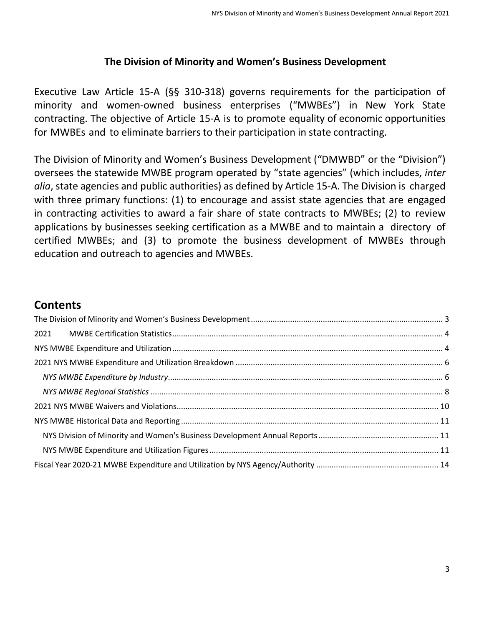#### **The Division of Minority and Women's Business Development**

<span id="page-2-0"></span>Executive Law Article 15-A (§§ 310-318) governs requirements for the participation of minority and women-owned business enterprises ("MWBEs") in New York State contracting. The objective of Article 15-A is to promote equality of economic opportunities for MWBEs and to eliminate barriers to their participation in state contracting.

The Division of Minority and Women's Business Development ("DMWBD" or the "Division") oversees the statewide MWBE program operated by "state agencies" (which includes, *inter alia*, state agencies and public authorities) as defined by Article 15-A. The Division is charged with three primary functions: (1) to encourage and assist state agencies that are engaged in contracting activities to award a fair share of state contracts to MWBEs; (2) to review applications by businesses seeking certification as a MWBE and to maintain a directory of certified MWBEs; and (3) to promote the business development of MWBEs through education and outreach to agencies and MWBEs.

### **Contents**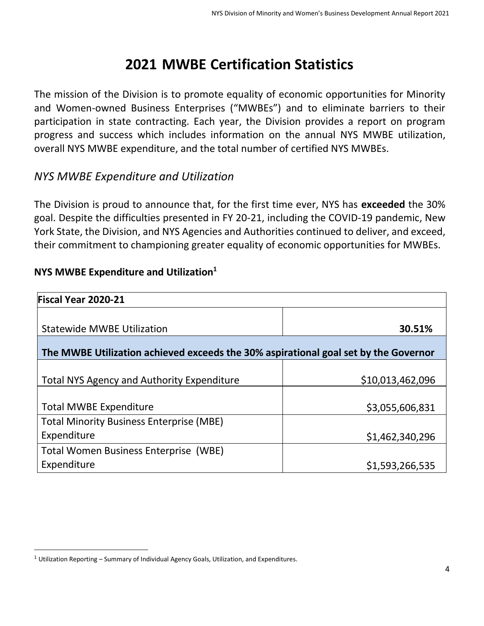# <span id="page-3-0"></span>**2021 MWBE Certification Statistics**

The mission of the Division is to promote equality of economic opportunities for Minority and Women-owned Business Enterprises ("MWBEs") and to eliminate barriers to their participation in state contracting. Each year, the Division provides a report on program progress and success which includes information on the annual NYS MWBE utilization, overall NYS MWBE expenditure, and the total number of certified NYS MWBEs.

# *NYS MWBE Expenditure and Utilization*

The Division is proud to announce that, for the first time ever, NYS has **exceeded** the 30% goal. Despite the difficulties presented in FY 20-21, including the COVID-19 pandemic, New York State, the Division, and NYS Agencies and Authorities continued to deliver, and exceed, their commitment to championing greater equality of economic opportunities for MWBEs.

### <span id="page-3-1"></span>**NYS MWBE Expenditure and Utilization<sup>1</sup>**

| Fiscal Year 2020-21                                                                 |                  |
|-------------------------------------------------------------------------------------|------------------|
| <b>Statewide MWBE Utilization</b>                                                   | 30.51%           |
| The MWBE Utilization achieved exceeds the 30% aspirational goal set by the Governor |                  |
| Total NYS Agency and Authority Expenditure                                          | \$10,013,462,096 |
| <b>Total MWBE Expenditure</b>                                                       | \$3,055,606,831  |
| <b>Total Minority Business Enterprise (MBE)</b>                                     |                  |
| Expenditure                                                                         | \$1,462,340,296  |
| <b>Total Women Business Enterprise (WBE)</b>                                        |                  |
| Expenditure                                                                         | \$1,593,266,535  |

 $1$  Utilization Reporting – Summary of Individual Agency Goals, Utilization, and Expenditures.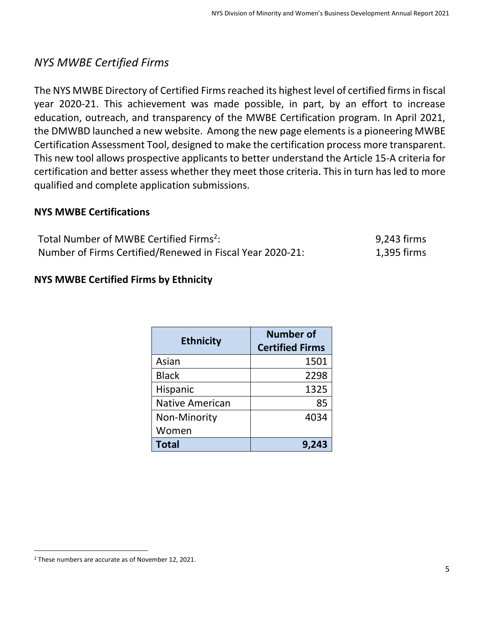# *NYS MWBE Certified Firms*

The NYS MWBE Directory of Certified Firms reached its highest level of certified firms in fiscal year 2020-21. This achievement was made possible, in part, by an effort to increase education, outreach, and transparency of the MWBE Certification program. In April 2021, the DMWBD launched a new website. Among the new page elements is a pioneering MWBE Certification Assessment Tool, designed to make the certification process more transparent. This new tool allows prospective applicants to better understand the Article 15-A criteria for certification and better assess whether they meet those criteria. This in turn has led to more qualified and complete application submissions.

### **NYS MWBE Certifications**

| Total Number of MWBE Certified Firms <sup>2</sup> :       | 9,243 firms |
|-----------------------------------------------------------|-------------|
| Number of Firms Certified/Renewed in Fiscal Year 2020-21: | 1,395 firms |

## **NYS MWBE Certified Firms by Ethnicity**

| <b>Ethnicity</b>       | <b>Number of</b><br><b>Certified Firms</b> |
|------------------------|--------------------------------------------|
| Asian                  | 1501                                       |
| <b>Black</b>           | 2298                                       |
| Hispanic               | 1325                                       |
| <b>Native American</b> | 85                                         |
| Non-Minority           | 4034                                       |
| Women                  |                                            |
| <b>Total</b>           |                                            |

<sup>2</sup> These numbers are accurate as of November 12, 2021.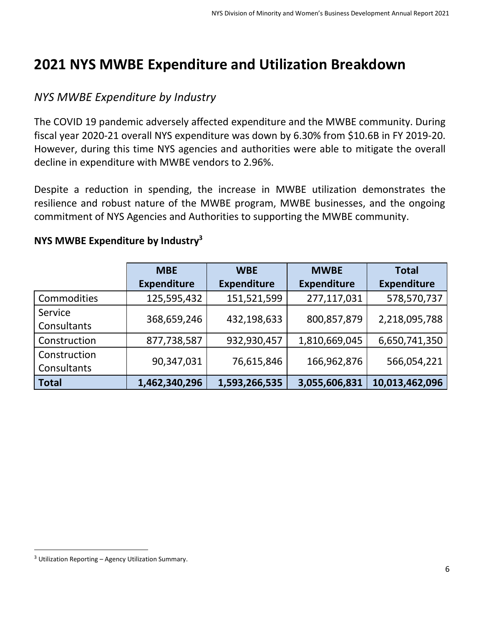# <span id="page-5-0"></span>**2021 NYS MWBE Expenditure and Utilization Breakdown**

# <span id="page-5-1"></span>*NYS MWBE Expenditure by Industry*

The COVID 19 pandemic adversely affected expenditure and the MWBE community. During fiscal year 2020-21 overall NYS expenditure was down by 6.30% from \$10.6B in FY 2019-20. However, during this time NYS agencies and authorities were able to mitigate the overall decline in expenditure with MWBE vendors to 2.96%.

Despite a reduction in spending, the increase in MWBE utilization demonstrates the resilience and robust nature of the MWBE program, MWBE businesses, and the ongoing commitment of NYS Agencies and Authorities to supporting the MWBE community.

|                             | <b>MBE</b>         | <b>WBE</b>         | <b>MWBE</b>        | <b>Total</b>       |
|-----------------------------|--------------------|--------------------|--------------------|--------------------|
|                             | <b>Expenditure</b> | <b>Expenditure</b> | <b>Expenditure</b> | <b>Expenditure</b> |
| Commodities                 | 125,595,432        | 151,521,599        | 277,117,031        | 578,570,737        |
| Service<br>Consultants      | 368,659,246        | 432,198,633        | 800,857,879        | 2,218,095,788      |
| Construction                | 877,738,587        | 932,930,457        | 1,810,669,045      | 6,650,741,350      |
| Construction<br>Consultants | 90,347,031         | 76,615,846         | 166,962,876        | 566,054,221        |
| <b>Total</b>                | 1,462,340,296      | 1,593,266,535      | 3,055,606,831      | 10,013,462,096     |

## **NYS MWBE Expenditure by Industry<sup>3</sup>**

 $3$  Utilization Reporting – Agency Utilization Summary.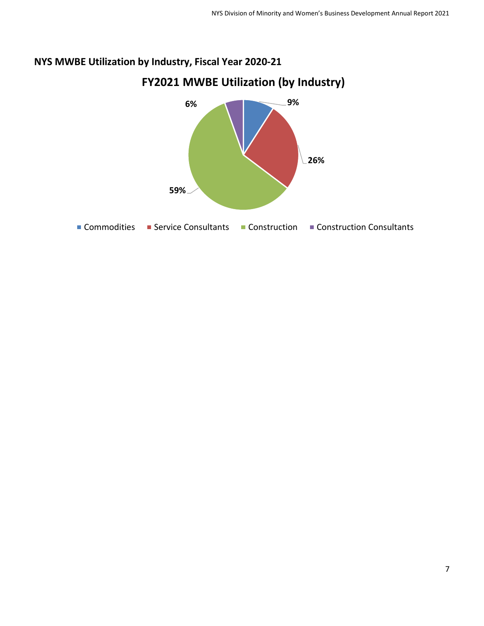

## **NYS MWBE Utilization by Industry, Fiscal Year 2020-21**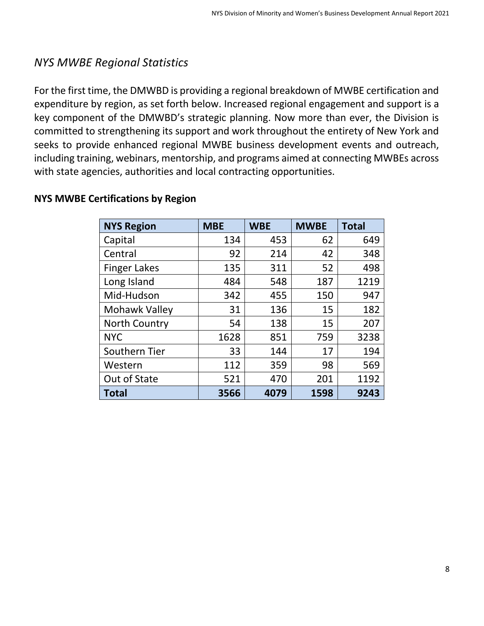# <span id="page-7-0"></span>*NYS MWBE Regional Statistics*

For the first time, the DMWBD is providing a regional breakdown of MWBE certification and expenditure by region, as set forth below. Increased regional engagement and support is a key component of the DMWBD's strategic planning. Now more than ever, the Division is committed to strengthening its support and work throughout the entirety of New York and seeks to provide enhanced regional MWBE business development events and outreach, including training, webinars, mentorship, and programs aimed at connecting MWBEs across with state agencies, authorities and local contracting opportunities.

| <b>NYS Region</b>    | <b>MBE</b> | <b>WBE</b> | <b>MWBE</b> | <b>Total</b> |
|----------------------|------------|------------|-------------|--------------|
| Capital              | 134        | 453        | 62          | 649          |
| Central              | 92         | 214        | 42          | 348          |
| <b>Finger Lakes</b>  | 135        | 311        | 52          | 498          |
| Long Island          | 484        | 548        | 187         | 1219         |
| Mid-Hudson           | 342        | 455        | 150         | 947          |
| <b>Mohawk Valley</b> | 31         | 136        | 15          | 182          |
| <b>North Country</b> | 54         | 138        | 15          | 207          |
| <b>NYC</b>           | 1628       | 851        | 759         | 3238         |
| Southern Tier        | 33         | 144        | 17          | 194          |
| Western              | 112        | 359        | 98          | 569          |
| Out of State         | 521        | 470        | 201         | 1192         |
| <b>Total</b>         | 3566       | 4079       | 1598        | 9243         |

#### **NYS MWBE Certifications by Region**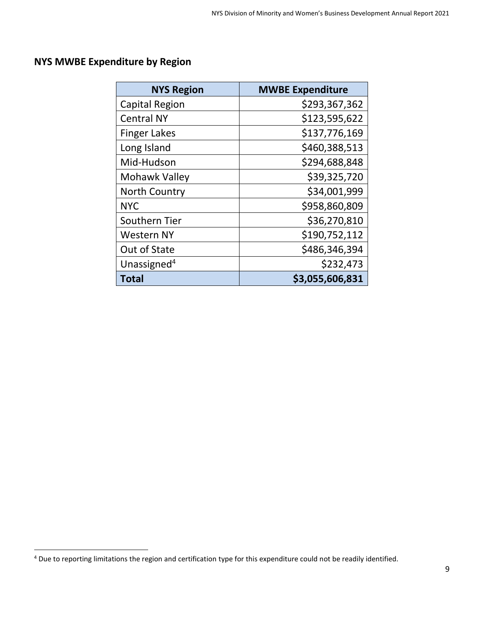## **NYS MWBE Expenditure by Region**

| <b>NYS Region</b>       | <b>MWBE Expenditure</b> |
|-------------------------|-------------------------|
| <b>Capital Region</b>   | \$293,367,362           |
| <b>Central NY</b>       | \$123,595,622           |
| <b>Finger Lakes</b>     | \$137,776,169           |
| Long Island             | \$460,388,513           |
| Mid-Hudson              | \$294,688,848           |
| Mohawk Valley           | \$39,325,720            |
| <b>North Country</b>    | \$34,001,999            |
| <b>NYC</b>              | \$958,860,809           |
| Southern Tier           | \$36,270,810            |
| <b>Western NY</b>       | \$190,752,112           |
| Out of State            | \$486,346,394           |
| Unassigned <sup>4</sup> | \$232,473               |
| Total                   | \$3,055,606,831         |

<sup>&</sup>lt;sup>4</sup> Due to reporting limitations the region and certification type for this expenditure could not be readily identified.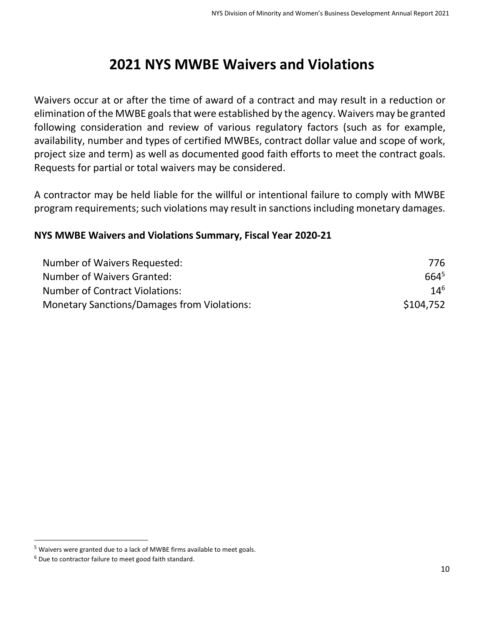# **2021 NYS MWBE Waivers and Violations**

<span id="page-9-0"></span>Waivers occur at or after the time of award of a contract and may result in a reduction or elimination of the MWBE goals that were established by the agency. Waivers may be granted following consideration and review of various regulatory factors (such as for example, availability, number and types of certified MWBEs, contract dollar value and scope of work, project size and term) as well as documented good faith efforts to meet the contract goals. Requests for partial or total waivers may be considered.

A contractor may be held liable for the willful or intentional failure to comply with MWBE program requirements; such violations may result in sanctions including monetary damages.

### **NYS MWBE Waivers and Violations Summary, Fiscal Year 2020-21**

| Number of Waivers Requested:                       | 776       |
|----------------------------------------------------|-----------|
| Number of Waivers Granted:                         | $664^{5}$ |
| <b>Number of Contract Violations:</b>              | $14^{6}$  |
| <b>Monetary Sanctions/Damages from Violations:</b> | \$104,752 |

<sup>&</sup>lt;sup>5</sup> Waivers were granted due to a lack of MWBE firms available to meet goals.

 $6$  Due to contractor failure to meet good faith standard.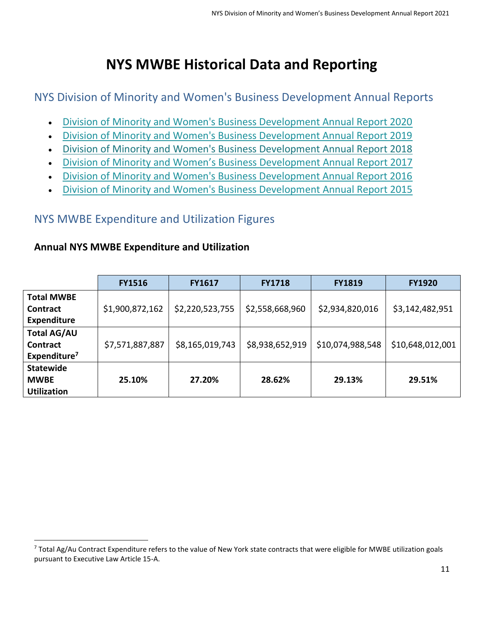# **NYS MWBE Historical Data and Reporting**

<span id="page-10-1"></span><span id="page-10-0"></span>NYS Division of Minority and Women's Business Development Annual Reports

- [Division of Minority and Women's Business Development Annual Report 2020](https://esd.ny.gov/sites/default/files/2020DMWBDAnnualReport.pdf)
- [Division of Minority and Women's Business Development Annual Report 2019](https://esd.ny.gov/sites/default/files/DivisionofMinorityandWomen%27sBusinessDevelopmentAnnualReport2019.pdf)
- Division of Minority and [Women's Business Development Annual Report 2018](https://esd.ny.gov/esd-media-center/reports/division-minority-and-womens-business-development-annual-report-2018)
- [Division of Minority and Women's Business Development Annual Report 2017](https://esd.ny.gov/sites/default/files/DMWBD_2016-2017_Annual_Report.pdf)
- [Division of Minority and Women's Business Development Annual Report 2016](https://cdn.esd.ny.gov/mwbe/Data/2016AnnualReport.pdf)
- [Division of Minority and Women's Business Development Annual Report 2015](https://cdn.esd.ny.gov/mwbe/Data/2015AnnualReport.pdf)

# <span id="page-10-2"></span>NYS MWBE Expenditure and Utilization Figures

### **Annual NYS MWBE Expenditure and Utilization**

|                          | <b>FY1516</b>   | <b>FY1617</b>   | <b>FY1718</b>   | <b>FY1819</b>    | <b>FY1920</b>    |
|--------------------------|-----------------|-----------------|-----------------|------------------|------------------|
| <b>Total MWBE</b>        |                 |                 |                 |                  |                  |
| <b>Contract</b>          | \$1,900,872,162 | \$2,220,523,755 | \$2,558,668,960 | \$2,934,820,016  | \$3,142,482,951  |
| <b>Expenditure</b>       |                 |                 |                 |                  |                  |
| <b>Total AG/AU</b>       |                 |                 |                 |                  |                  |
| Contract                 | \$7,571,887,887 | \$8,165,019,743 | \$8,938,652,919 | \$10,074,988,548 | \$10,648,012,001 |
| Expenditure <sup>7</sup> |                 |                 |                 |                  |                  |
| <b>Statewide</b>         |                 |                 |                 |                  |                  |
| <b>MWBE</b>              | 25.10%          | 27.20%          | 28.62%          | 29.13%           | 29.51%           |
| <b>Utilization</b>       |                 |                 |                 |                  |                  |

<sup>&</sup>lt;sup>7</sup> Total Ag/Au Contract Expenditure refers to the value of New York state contracts that were eligible for MWBE utilization goals pursuant to Executive Law Article 15-A.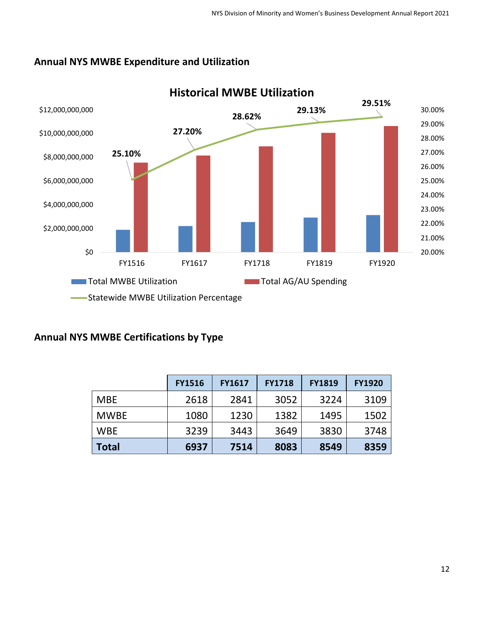#### **Annual NYS MWBE Expenditure and Utilization**



**Annual NYS MWBE Certifications by Type**

|              | <b>FY1516</b> | <b>FY1617</b> | <b>FY1718</b> | <b>FY1819</b> | <b>FY1920</b> |
|--------------|---------------|---------------|---------------|---------------|---------------|
| <b>MBE</b>   | 2618          | 2841          | 3052          | 3224          | 3109          |
| <b>MWBE</b>  | 1080          | 1230          | 1382          | 1495          | 1502          |
| <b>WBE</b>   | 3239          | 3443          | 3649          | 3830          | 3748          |
| <b>Total</b> | 6937          | 7514          | 8083          | 8549          | 8359          |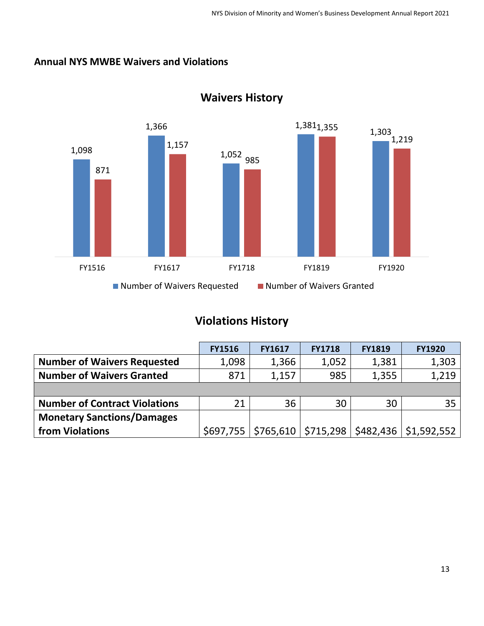#### **Annual NYS MWBE Waivers and Violations**



**Waivers History**

# **Violations History**

|                                      | <b>FY1516</b> | <b>FY1617</b>                      | <b>FY1718</b> | <b>FY1819</b> | <b>FY1920</b>           |
|--------------------------------------|---------------|------------------------------------|---------------|---------------|-------------------------|
| <b>Number of Waivers Requested</b>   | 1,098         | 1,366                              | 1,052         | 1,381         | 1,303                   |
| <b>Number of Waivers Granted</b>     | 871           | 1,157                              | 985           | 1,355         | 1,219                   |
|                                      |               |                                    |               |               |                         |
| <b>Number of Contract Violations</b> | 21            | 36                                 | 30            | 30            | 35                      |
| <b>Monetary Sanctions/Damages</b>    |               |                                    |               |               |                         |
| from Violations                      |               | $$697,755$   \$765,610   \$715,298 |               |               | $$482,436$ $$1,592,552$ |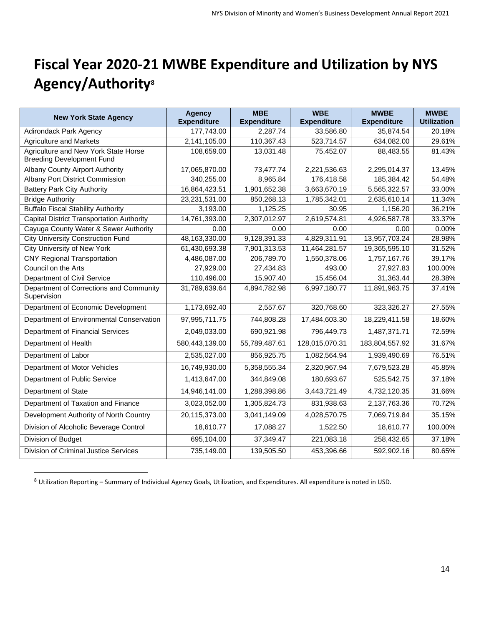# <span id="page-13-0"></span>**Fiscal Year 2020-21 MWBE Expenditure and Utilization by NYS Agency/Authority<sup>8</sup>**

| <b>New York State Agency</b>                                             | <b>Agency</b><br><b>Expenditure</b> | <b>MBE</b><br><b>Expenditure</b> | <b>WBE</b><br><b>Expenditure</b> | <b>MWBE</b><br><b>Expenditure</b> | <b>MWBE</b><br><b>Utilization</b> |
|--------------------------------------------------------------------------|-------------------------------------|----------------------------------|----------------------------------|-----------------------------------|-----------------------------------|
| <b>Adirondack Park Agency</b>                                            | 177,743.00                          | 2,287.74                         | 33,586.80                        | 35,874.54                         | 20.18%                            |
| <b>Agriculture and Markets</b>                                           | 2,141,105.00                        | 110,367.43                       | 523,714.57                       | 634,082.00                        | 29.61%                            |
| Agriculture and New York State Horse<br><b>Breeding Development Fund</b> | 108,659.00                          | 13,031.48                        | 75,452.07                        | 88,483.55                         | 81.43%                            |
| <b>Albany County Airport Authority</b>                                   | 17,065,870.00                       | 73,477.74                        | 2,221,536.63                     | 2,295,014.37                      | 13.45%                            |
| <b>Albany Port District Commission</b>                                   | 340,255.00                          | 8,965.84                         | 176,418.58                       | 185,384.42                        | 54.48%                            |
| <b>Battery Park City Authority</b>                                       | 16,864,423.51                       | 1,901,652.38                     | 3,663,670.19                     | 5,565,322.57                      | 33.00%                            |
| <b>Bridge Authority</b>                                                  | 23,231,531.00                       | 850,268.13                       | 1,785,342.01                     | 2,635,610.14                      | 11.34%                            |
| <b>Buffalo Fiscal Stability Authority</b>                                | 3,193.00                            | 1,125.25                         | 30.95                            | 1,156.20                          | 36.21%                            |
| <b>Capital District Transportation Authority</b>                         | 14,761,393.00                       | 2,307,012.97                     | 2,619,574.81                     | 4,926,587.78                      | 33.37%                            |
| Cayuga County Water & Sewer Authority                                    | 0.00                                | 0.00                             | 0.00                             | 0.00                              | 0.00%                             |
| <b>City University Construction Fund</b>                                 | 48,163,330.00                       | 9,128,391.33                     | 4,829,311.91                     | 13,957,703.24                     | 28.98%                            |
| City University of New York                                              | 61,430,693.38                       | 7,901,313.53                     | 11,464,281.57                    | 19,365,595.10                     | 31.52%                            |
| <b>CNY Regional Transportation</b>                                       | 4,486,087.00                        | 206,789.70                       | 1,550,378.06                     | 1,757,167.76                      | 39.17%                            |
| Council on the Arts                                                      | 27,929.00                           | 27,434.83                        | 493.00                           | 27,927.83                         | 100.00%                           |
| Department of Civil Service                                              | 110,496.00                          | 15,907.40                        | 15,456.04                        | 31,363.44                         | 28.38%                            |
| Department of Corrections and Community<br>Supervision                   | 31,789,639.64                       | 4,894,782.98                     | 6,997,180.77                     | 11,891,963.75                     | 37.41%                            |
| Department of Economic Development                                       | 1,173,692.40                        | 2,557.67                         | 320,768.60                       | 323,326.27                        | 27.55%                            |
| Department of Environmental Conservation                                 | 97,995,711.75                       | 744,808.28                       | 17,484,603.30                    | 18,229,411.58                     | 18.60%                            |
| <b>Department of Financial Services</b>                                  | 2,049,033.00                        | 690,921.98                       | 796,449.73                       | 1,487,371.71                      | 72.59%                            |
| Department of Health                                                     | 580,443,139.00                      | 55,789,487.61                    | 128,015,070.31                   | 183,804,557.92                    | 31.67%                            |
| Department of Labor                                                      | 2,535,027.00                        | 856,925.75                       | 1,082,564.94                     | 1,939,490.69                      | 76.51%                            |
| Department of Motor Vehicles                                             | 16,749,930.00                       | 5,358,555.34                     | 2,320,967.94                     | 7,679,523.28                      | 45.85%                            |
| Department of Public Service                                             | 1,413,647.00                        | 344,849.08                       | 180,693.67                       | 525,542.75                        | 37.18%                            |
| Department of State                                                      | 14,946,141.00                       | 1,288,398.86                     | 3,443,721.49                     | 4,732,120.35                      | 31.66%                            |
| Department of Taxation and Finance                                       | 3,023,052.00                        | 1,305,824.73                     | 831,938.63                       | 2,137,763.36                      | 70.72%                            |
| Development Authority of North Country                                   | 20,115,373.00                       | 3,041,149.09                     | 4,028,570.75                     | 7,069,719.84                      | 35.15%                            |
| Division of Alcoholic Beverage Control                                   | 18,610.77                           | 17,088.27                        | $\overline{1,}522.50$            | 18,610.77                         | 100.00%                           |
| Division of Budget                                                       | 695,104.00                          | 37,349.47                        | 221,083.18                       | 258,432.65                        | 37.18%                            |
| Division of Criminal Justice Services                                    | 735,149.00                          | 139,505.50                       | 453,396.66                       | 592,902.16                        | 80.65%                            |

<sup>8</sup> Utilization Reporting – Summary of Individual Agency Goals, Utilization, and Expenditures. All expenditure is noted in USD.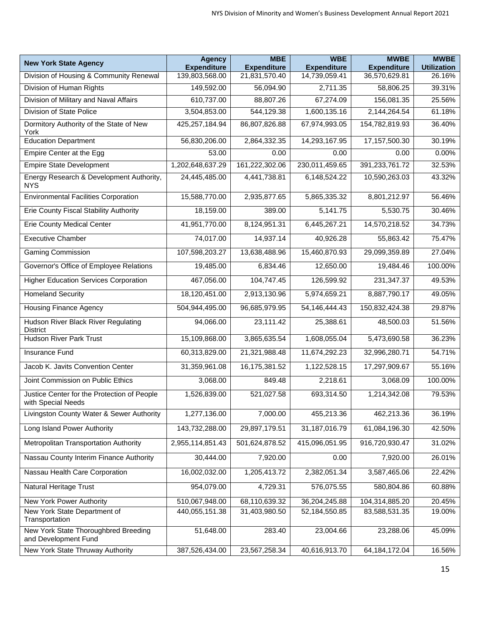| <b>New York State Agency</b>                                      | <b>Agency</b><br><b>Expenditure</b> | <b>MBE</b><br><b>Expenditure</b> | <b>WBE</b><br><b>Expenditure</b> | <b>MWBE</b><br><b>Expenditure</b> | <b>MWBE</b><br><b>Utilization</b> |
|-------------------------------------------------------------------|-------------------------------------|----------------------------------|----------------------------------|-----------------------------------|-----------------------------------|
| Division of Housing & Community Renewal                           | 139,803,568.00                      | 21,831,570.40                    | 14,739,059.41                    | 36,570,629.81                     | 26.16%                            |
| Division of Human Rights                                          | 149,592.00                          | 56,094.90                        | 2,711.35                         | 58,806.25                         | 39.31%                            |
| Division of Military and Naval Affairs                            | 610,737.00                          | 88,807.26                        | 67,274.09                        | 156,081.35                        | 25.56%                            |
| Division of State Police                                          | 3,504,853.00                        | 544,129.38                       | 1,600,135.16                     | 2,144,264.54                      | 61.18%                            |
| Dormitory Authority of the State of New<br>York                   | 425,257,184.94                      | 86,807,826.88                    | 67,974,993.05                    | 154,782,819.93                    | 36.40%                            |
| <b>Education Department</b>                                       | 56,830,206.00                       | 2,864,332.35                     | 14,293,167.95                    | 17,157,500.30                     | 30.19%                            |
| Empire Center at the Egg                                          | 53.00                               | 0.00                             | 0.00                             | 0.00                              | 0.00%                             |
| <b>Empire State Development</b>                                   | 1,202,648,637.29                    | 161,222,302.06                   | 230,011,459.65                   | 391,233,761.72                    | 32.53%                            |
| Energy Research & Development Authority,<br><b>NYS</b>            | 24,445,485.00                       | 4,441,738.81                     | 6,148,524.22                     | 10,590,263.03                     | 43.32%                            |
| <b>Environmental Facilities Corporation</b>                       | 15,588,770.00                       | 2,935,877.65                     | 5,865,335.32                     | 8,801,212.97                      | 56.46%                            |
| Erie County Fiscal Stability Authority                            | 18,159.00                           | 389.00                           | 5,141.75                         | 5,530.75                          | 30.46%                            |
| <b>Erie County Medical Center</b>                                 | 41,951,770.00                       | 8,124,951.31                     | 6,445,267.21                     | 14,570,218.52                     | 34.73%                            |
| <b>Executive Chamber</b>                                          | 74,017.00                           | 14,937.14                        | 40,926.28                        | 55,863.42                         | 75.47%                            |
| <b>Gaming Commission</b>                                          | 107,598,203.27                      | 13,638,488.96                    | 15,460,870.93                    | 29,099,359.89                     | 27.04%                            |
| Governor's Office of Employee Relations                           | 19,485.00                           | 6,834.46                         | 12,650.00                        | 19,484.46                         | 100.00%                           |
| <b>Higher Education Services Corporation</b>                      | 467,056.00                          | 104,747.45                       | 126,599.92                       | 231,347.37                        | 49.53%                            |
| <b>Homeland Security</b>                                          | 18,120,451.00                       | 2,913,130.96                     | 5,974,659.21                     | 8,887,790.17                      | 49.05%                            |
| <b>Housing Finance Agency</b>                                     | 504,944,495.00                      | 96,685,979.95                    | 54,146,444.43                    | 150,832,424.38                    | 29.87%                            |
| Hudson River Black River Regulating<br><b>District</b>            | 94,066.00                           | 23,111.42                        | 25,388.61                        | 48,500.03                         | 51.56%                            |
| <b>Hudson River Park Trust</b>                                    | 15,109,868.00                       | 3,865,635.54                     | 1,608,055.04                     | 5,473,690.58                      | 36.23%                            |
| Insurance Fund                                                    | 60,313,829.00                       | 21,321,988.48                    | 11,674,292.23                    | 32,996,280.71                     | 54.71%                            |
| Jacob K. Javits Convention Center                                 | 31,359,961.08                       | 16,175,381.52                    | 1,122,528.15                     | 17,297,909.67                     | 55.16%                            |
| Joint Commission on Public Ethics                                 | 3,068.00                            | 849.48                           | 2,218.61                         | 3,068.09                          | 100.00%                           |
| Justice Center for the Protection of People<br>with Special Needs | 1,526,839.00                        | 521,027.58                       | 693,314.50                       | 1,214,342.08                      | 79.53%                            |
| Livingston County Water & Sewer Authority                         | 1,277,136.00                        | 7,000.00                         | 455,213.36                       | 462,213.36                        | 36.19%                            |
| Long Island Power Authority                                       | 143,732,288.00                      | 29,897,179.51                    | 31,187,016.79                    | 61,084,196.30                     | 42.50%                            |
| Metropolitan Transportation Authority                             | 2,955,114,851.43                    | 501,624,878.52                   | 415,096,051.95                   | 916,720,930.47                    | 31.02%                            |
| Nassau County Interim Finance Authority                           | 30,444.00                           | 7,920.00                         | 0.00                             | 7,920.00                          | 26.01%                            |
| Nassau Health Care Corporation                                    | 16,002,032.00                       | 1,205,413.72                     | 2,382,051.34                     | 3,587,465.06                      | 22.42%                            |
| Natural Heritage Trust                                            | 954,079.00                          | 4,729.31                         | 576,075.55                       | 580,804.86                        | 60.88%                            |
| New York Power Authority                                          | 510,067,948.00                      | 68,110,639.32                    | 36,204,245.88                    | 104,314,885.20                    | 20.45%                            |
| New York State Department of                                      | 440,055,151.38                      | 31,403,980.50                    | 52,184,550.85                    | 83,588,531.35                     | 19.00%                            |
| Transportation                                                    |                                     |                                  |                                  |                                   |                                   |
| New York State Thoroughbred Breeding<br>and Development Fund      | 51,648.00                           | 283.40                           | 23,004.66                        | 23,288.06                         | 45.09%                            |
| New York State Thruway Authority                                  | 387,526,434.00                      | 23,567,258.34                    | 40,616,913.70                    | 64,184,172.04                     | 16.56%                            |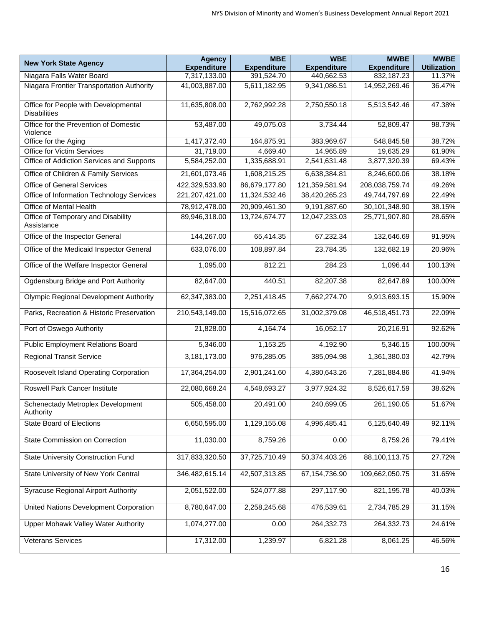| <b>New York State Agency</b>                      | <b>Agency</b><br><b>Expenditure</b> | <b>MBE</b><br><b>Expenditure</b> | <b>WBE</b><br><b>Expenditure</b> | <b>MWBE</b><br><b>Expenditure</b> | <b>MWBE</b><br><b>Utilization</b> |
|---------------------------------------------------|-------------------------------------|----------------------------------|----------------------------------|-----------------------------------|-----------------------------------|
| Niagara Falls Water Board                         | 7,317,133.00                        | 391,524.70                       | 440,662.53                       | 832,187.23                        | 11.37%                            |
| Niagara Frontier Transportation Authority         | 41,003,887.00                       | 5,611,182.95                     | 9,341,086.51                     | 14,952,269.46                     | 36.47%                            |
|                                                   |                                     |                                  |                                  |                                   |                                   |
| Office for People with Developmental              | 11,635,808.00                       | 2,762,992.28                     | 2,750,550.18                     | 5,513,542.46                      | 47.38%                            |
| <b>Disabilities</b>                               |                                     |                                  |                                  |                                   |                                   |
| Office for the Prevention of Domestic<br>Violence | 53,487.00                           | 49,075.03                        | 3,734.44                         | 52,809.47                         | 98.73%                            |
| Office for the Aging                              | 1,417,372.40                        | 164,875.91                       | 383,969.67                       | 548,845.58                        | 38.72%                            |
| <b>Office for Victim Services</b>                 | 31,719.00                           | 4,669.40                         | 14,965.89                        | 19,635.29                         | 61.90%                            |
| Office of Addiction Services and Supports         | 5,584,252.00                        | 1,335,688.91                     | 2,541,631.48                     | 3,877,320.39                      | 69.43%                            |
| Office of Children & Family Services              | 21,601,073.46                       | 1,608,215.25                     | 6,638,384.81                     | 8,246,600.06                      | 38.18%                            |
| <b>Office of General Services</b>                 | 422,329,533.90                      | 86,679,177.80                    | 121,359,581.94                   | 208,038,759.74                    | 49.26%                            |
| Office of Information Technology Services         | 221,207,421.00                      | 11,324,532.46                    | 38,420,265.23                    | 49,744,797.69                     | 22.49%                            |
| Office of Mental Health                           | 78,912,478.00                       | 20,909,461.30                    | 9,191,887.60                     | 30,101,348.90                     | 38.15%                            |
| Office of Temporary and Disability                | 89,946,318.00                       | 13,724,674.77                    | 12,047,233.03                    | 25,771,907.80                     | 28.65%                            |
| Assistance                                        |                                     |                                  |                                  |                                   |                                   |
| Office of the Inspector General                   | 144,267.00                          | 65,414.35                        | 67,232.34                        | 132,646.69                        | 91.95%                            |
| Office of the Medicaid Inspector General          | 633,076.00                          | 108,897.84                       | 23,784.35                        | 132,682.19                        | 20.96%                            |
| Office of the Welfare Inspector General           | 1,095.00                            | 812.21                           | 284.23                           | 1,096.44                          | 100.13%                           |
| Ogdensburg Bridge and Port Authority              | 82,647.00                           | 440.51                           | 82,207.38                        | 82,647.89                         | 100.00%                           |
| <b>Olympic Regional Development Authority</b>     | 62,347,383.00                       | 2,251,418.45                     | 7,662,274.70                     | 9,913,693.15                      | 15.90%                            |
| Parks, Recreation & Historic Preservation         | 210,543,149.00                      | 15,516,072.65                    | 31,002,379.08                    | 46,518,451.73                     | 22.09%                            |
| Port of Oswego Authority                          | 21,828.00                           | 4,164.74                         | 16,052.17                        | 20,216.91                         | 92.62%                            |
| <b>Public Employment Relations Board</b>          | 5,346.00                            | 1,153.25                         | 4,192.90                         | 5,346.15                          | 100.00%                           |
| <b>Regional Transit Service</b>                   | 3,181,173.00                        | 976,285.05                       | 385,094.98                       | 1,361,380.03                      | 42.79%                            |
| Roosevelt Island Operating Corporation            | 17,364,254.00                       | 2,901,241.60                     | 4,380,643.26                     | 7,281,884.86                      | 41.94%                            |
| <b>Roswell Park Cancer Institute</b>              | 22,080,668.24                       | 4,548,693.27                     | 3,977,924.32                     | 8,526,617.59                      | 38.62%                            |
| Schenectady Metroplex Development<br>Authority    | 505,458.00                          | 20,491.00                        | 240,699.05                       | 261,190.05                        | 51.67%                            |
| <b>State Board of Elections</b>                   | 6,650,595.00                        | 1,129,155.08                     | 4,996,485.41                     | 6,125,640.49                      | 92.11%                            |
| State Commission on Correction                    | 11,030.00                           | 8,759.26                         | 0.00                             | 8,759.26                          | 79.41%                            |
| <b>State University Construction Fund</b>         | 317,833,320.50                      | 37,725,710.49                    | 50,374,403.26                    | 88,100,113.75                     | 27.72%                            |
| State University of New York Central              | 346,482,615.14                      | 42,507,313.85                    | 67,154,736.90                    | 109,662,050.75                    | 31.65%                            |
| <b>Syracuse Regional Airport Authority</b>        | 2,051,522.00                        | 524,077.88                       | 297,117.90                       | 821,195.78                        | 40.03%                            |
| United Nations Development Corporation            | 8,780,647.00                        | 2,258,245.68                     | 476,539.61                       | 2,734,785.29                      | 31.15%                            |
| Upper Mohawk Valley Water Authority               | 1,074,277.00                        | 0.00                             | 264,332.73                       | 264,332.73                        | 24.61%                            |
| <b>Veterans Services</b>                          | 17,312.00                           | 1,239.97                         | 6,821.28                         | 8,061.25                          | 46.56%                            |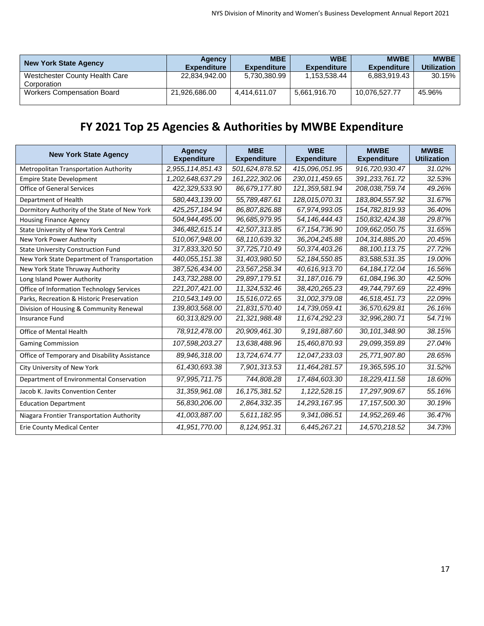| New York State Agency                         | Agency<br><b>Expenditure</b> | <b>MBE</b><br><b>Expenditure</b> | <b>WBE</b><br><b>Expenditure</b> | <b>MWBE</b><br><b>Expenditure</b> | <b>MWBE</b><br><b>Utilization</b> |
|-----------------------------------------------|------------------------------|----------------------------------|----------------------------------|-----------------------------------|-----------------------------------|
| Westchester County Health Care<br>Corporation | 22.834.942.00                | 5.730.380.99                     | 1.153.538.44                     | 6.883.919.43                      | 30.15%                            |
| <b>Workers Compensation Board</b>             | 21,926,686.00                | 4.414.611.07                     | 5,661,916.70                     | 10,076,527.77                     | 45.96%                            |

# **FY 2021 Top 25 Agencies & Authorities by MWBE Expenditure**

| <b>New York State Agency</b>                  | <b>Agency</b><br><b>Expenditure</b> | <b>MBE</b><br><b>Expenditure</b> | <b>WBE</b><br><b>Expenditure</b> | <b>MWBE</b><br><b>Expenditure</b> | <b>MWBE</b><br><b>Utilization</b> |
|-----------------------------------------------|-------------------------------------|----------------------------------|----------------------------------|-----------------------------------|-----------------------------------|
| Metropolitan Transportation Authority         | 2,955,114,851.43                    | 501,624,878.52                   | 415,096,051.95                   | 916,720,930.47                    | 31.02%                            |
| <b>Empire State Development</b>               | 1,202,648,637.29                    | 161,222,302.06                   | 230,011,459.65                   | 391,233,761.72                    | 32.53%                            |
| <b>Office of General Services</b>             | 422,329,533.90                      | 86,679,177.80                    | 121,359,581.94                   | 208,038,759.74                    | 49.26%                            |
| Department of Health                          | 580,443,139.00                      | 55,789,487.61                    | 128,015,070.31                   | 183,804,557.92                    | 31.67%                            |
| Dormitory Authority of the State of New York  | 425,257,184.94                      | 86,807,826.88                    | 67,974,993.05                    | 154,782,819.93                    | 36.40%                            |
| <b>Housing Finance Agency</b>                 | 504,944,495.00                      | 96,685,979.95                    | 54, 146, 444. 43                 | 150,832,424.38                    | 29.87%                            |
| State University of New York Central          | 346,482,615.14                      | 42,507,313.85                    | 67, 154, 736.90                  | 109,662,050.75                    | 31.65%                            |
| New York Power Authority                      | 510,067,948.00                      | 68,110,639.32                    | 36,204,245.88                    | 104,314,885.20                    | 20.45%                            |
| <b>State University Construction Fund</b>     | 317,833,320.50                      | 37,725,710.49                    | 50,374,403.26                    | 88, 100, 113.75                   | 27.72%                            |
| New York State Department of Transportation   | 440,055,151.38                      | 31,403,980.50                    | 52, 184, 550.85                  | 83,588,531.35                     | 19.00%                            |
| New York State Thruway Authority              | 387,526,434.00                      | 23,567,258.34                    | 40.616.913.70                    | 64, 184, 172.04                   | 16.56%                            |
| Long Island Power Authority                   | 143,732,288.00                      | 29,897,179.51                    | 31,187,016.79                    | 61,084,196.30                     | 42.50%                            |
| Office of Information Technology Services     | 221,207,421.00                      | 11,324,532.46                    | 38,420,265.23                    | 49,744,797.69                     | 22.49%                            |
| Parks, Recreation & Historic Preservation     | 210,543,149.00                      | 15,516,072.65                    | 31,002,379.08                    | 46,518,451.73                     | 22.09%                            |
| Division of Housing & Community Renewal       | 139,803,568.00                      | 21,831,570.40                    | 14,739,059.41                    | 36,570,629.81                     | 26.16%                            |
| <b>Insurance Fund</b>                         | 60,313,829.00                       | 21,321,988.48                    | 11,674,292.23                    | 32,996,280.71                     | 54.71%                            |
| Office of Mental Health                       | 78,912,478.00                       | 20,909,461.30                    | 9,191,887.60                     | 30, 101, 348.90                   | 38.15%                            |
| <b>Gaming Commission</b>                      | 107,598,203.27                      | 13,638,488.96                    | 15,460,870.93                    | 29,099,359.89                     | 27.04%                            |
| Office of Temporary and Disability Assistance | 89,946,318.00                       | 13,724,674.77                    | 12,047,233.03                    | 25,771,907.80                     | 28.65%                            |
| City University of New York                   | 61,430,693.38                       | 7,901,313.53                     | 11,464,281.57                    | 19,365,595.10                     | 31.52%                            |
| Department of Environmental Conservation      | 97,995,711.75                       | 744,808.28                       | 17,484,603.30                    | 18,229,411.58                     | 18.60%                            |
| Jacob K. Javits Convention Center             | 31,359,961.08                       | 16, 175, 381.52                  | 1, 122, 528.15                   | 17,297,909.67                     | 55.16%                            |
| <b>Education Department</b>                   | 56,830,206.00                       | 2,864,332.35                     | 14,293,167.95                    | 17, 157, 500.30                   | 30.19%                            |
| Niagara Frontier Transportation Authority     | 41,003,887.00                       | 5,611,182.95                     | 9,341,086.51                     | 14,952,269.46                     | 36.47%                            |
| <b>Erie County Medical Center</b>             | 41,951,770.00                       | 8,124,951.31                     | 6,445,267.21                     | 14,570,218.52                     | 34.73%                            |